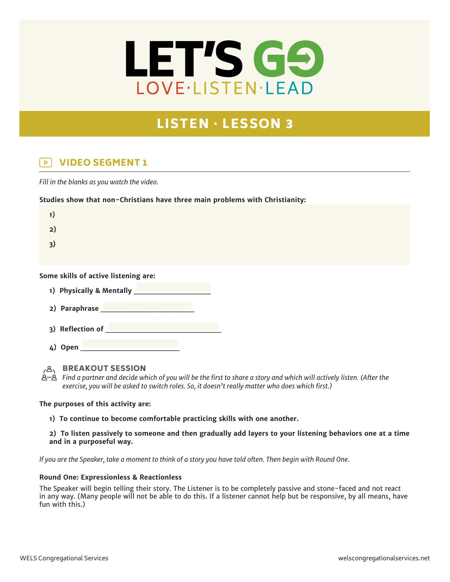

# LISTEN · LESSON 3

#### VIDEO SEGMENT 1  $\triangleright$

*Fill in the blanks as you watch the video.*

## **Studies show that non-Christians have three main problems with Christianity:**

| 1) |  |  |  |
|----|--|--|--|
| 2) |  |  |  |
| 3) |  |  |  |
|    |  |  |  |

### **Some skills of active listening are:**

|  | 1) Physically & Mentally |  |
|--|--------------------------|--|
|  |                          |  |

- **2) Paraphrase \_\_\_\_\_\_\_\_\_\_\_\_\_\_\_\_\_**
- 3) Reflection of
- **4) Open \_\_\_\_\_\_\_\_\_\_\_\_\_\_\_\_\_\_**

**BREAKOUT SESSION** 

*Find a partner and decide which of you will be the first to share a story and which will actively listen. (After the exercise, you will be asked to switch roles. So, it doesn't really matter who does which first.)*

### **The purposes of this activity are:**

**1) To continue to become comfortable practicing skills with one another.**

**2) To listen passively to someone and then gradually add layers to your listening behaviors one at a time and in a purposeful way.**

*If you are the Speaker, take a moment to think of a story you have told often. Then begin with Round One.*

### **Round One: Expressionless & Reactionless**

The Speaker will begin telling their story. The Listener is to be completely passive and stone-faced and not react in any way. (Many people will not be able to do this. If a listener cannot help but be responsive, by all means, have fun with this.)